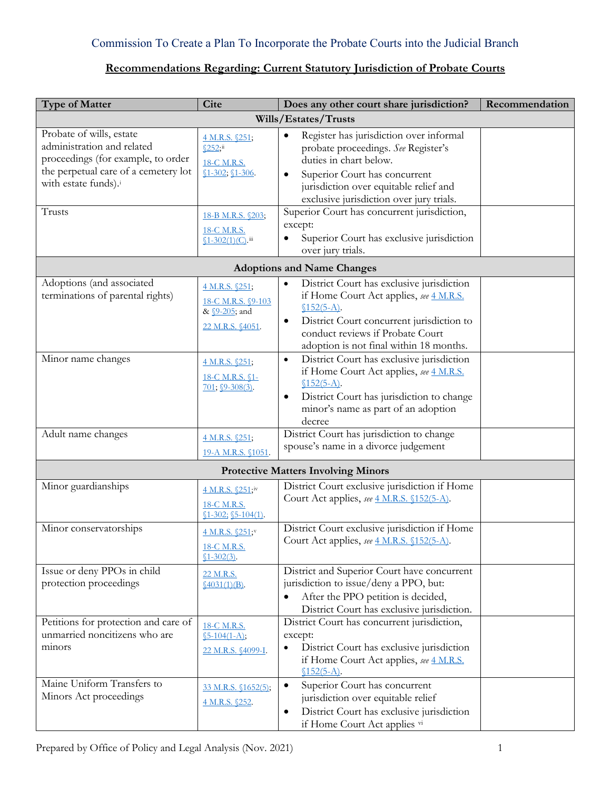### Commission To Create a Plan To Incorporate the Probate Courts into the Judicial Branch

## <span id="page-0-0"></span>**Recommendations Regarding: Current Statutory Jurisdiction of Probate Courts**

| <b>Type of Matter</b>                                                                                                                                                              | <b>Cite</b>                                                                                                             | Does any other court share jurisdiction?                                                                                                                                                                                                                                                                                                                    | Recommendation |  |  |  |
|------------------------------------------------------------------------------------------------------------------------------------------------------------------------------------|-------------------------------------------------------------------------------------------------------------------------|-------------------------------------------------------------------------------------------------------------------------------------------------------------------------------------------------------------------------------------------------------------------------------------------------------------------------------------------------------------|----------------|--|--|--|
| Wills/Estates/Trusts                                                                                                                                                               |                                                                                                                         |                                                                                                                                                                                                                                                                                                                                                             |                |  |  |  |
| Probate of wills, estate<br>administration and related<br>proceedings (for example, to order<br>the perpetual care of a cemetery lot<br>with estate funds). <sup>i</sup><br>Trusts | 4 M.R.S. §251;<br>\$252;ii<br>18-C M.R.S.<br>$$1-302; $1-306.$<br>18-B M.R.S. §203;<br>18-C M.R.S.<br>§1-302(1)(C). iii | Register has jurisdiction over informal<br>probate proceedings. See Register's<br>duties in chart below.<br>Superior Court has concurrent<br>jurisdiction over equitable relief and<br>exclusive jurisdiction over jury trials.<br>Superior Court has concurrent jurisdiction,<br>except:<br>Superior Court has exclusive jurisdiction<br>over jury trials. |                |  |  |  |
|                                                                                                                                                                                    |                                                                                                                         | <b>Adoptions and Name Changes</b>                                                                                                                                                                                                                                                                                                                           |                |  |  |  |
| Adoptions (and associated<br>terminations of parental rights)                                                                                                                      | 4 M.R.S. §251;<br>18-C M.R.S. §9-103<br>& <u>\$9-205</u> ; and<br>22 M.R.S. §4051.                                      | District Court has exclusive jurisdiction<br>if Home Court Act applies, see 4 M.R.S.<br>$$152(5-A).$<br>District Court concurrent jurisdiction to<br>$\bullet$<br>conduct reviews if Probate Court<br>adoption is not final within 18 months.                                                                                                               |                |  |  |  |
| Minor name changes                                                                                                                                                                 | 4 M.R.S. §251;<br>18-C M.R.S. §1-<br>$701; \underline{\$9-308(3)}$ .                                                    | District Court has exclusive jurisdiction<br>$\bullet$<br>if Home Court Act applies, see 4 M.R.S.<br>$$152(5-A).$<br>District Court has jurisdiction to change<br>$\bullet$<br>minor's name as part of an adoption<br>decree                                                                                                                                |                |  |  |  |
| Adult name changes                                                                                                                                                                 | 4 M.R.S. §251;<br>19-A M.R.S. §1051.                                                                                    | District Court has jurisdiction to change<br>spouse's name in a divorce judgement                                                                                                                                                                                                                                                                           |                |  |  |  |
|                                                                                                                                                                                    |                                                                                                                         | <b>Protective Matters Involving Minors</b>                                                                                                                                                                                                                                                                                                                  |                |  |  |  |
| Minor guardianships                                                                                                                                                                | 4 M.R.S. §251;iv<br>18-C M.R.S.<br>$$1-302; $5-104(1)$ .                                                                | District Court exclusive jurisdiction if Home<br>Court Act applies, see 4 M.R.S. §152(5-A).                                                                                                                                                                                                                                                                 |                |  |  |  |
| Minor conservatorships                                                                                                                                                             | 4 M.R.S. §251;v<br>18-C M.R.S.<br>$$1-302(3)$ .                                                                         | District Court exclusive jurisdiction if Home<br>Court Act applies, see 4 M.R.S. §152(5-A).                                                                                                                                                                                                                                                                 |                |  |  |  |
| Issue or deny PPOs in child<br>protection proceedings                                                                                                                              | 22 M.R.S.<br>$$4031(1)(B)$ .                                                                                            | District and Superior Court have concurrent<br>jurisdiction to issue/deny a PPO, but:<br>After the PPO petition is decided,<br>District Court has exclusive jurisdiction.                                                                                                                                                                                   |                |  |  |  |
| Petitions for protection and care of<br>unmarried noncitizens who are<br>minors                                                                                                    | 18-C M.R.S.<br>$$5-104(1-A);$<br>22 M.R.S. §4099-I.                                                                     | District Court has concurrent jurisdiction,<br>except:<br>District Court has exclusive jurisdiction<br>$\bullet$<br>if Home Court Act applies, see 4 M.R.S.<br>$$152(5-A).$                                                                                                                                                                                 |                |  |  |  |
| Maine Uniform Transfers to<br>Minors Act proceedings                                                                                                                               | 33 M.R.S. §1652(5);<br>4 M.R.S. §252.                                                                                   | Superior Court has concurrent<br>$\bullet$<br>jurisdiction over equitable relief<br>District Court has exclusive jurisdiction<br>٠<br>if Home Court Act applies vi                                                                                                                                                                                          |                |  |  |  |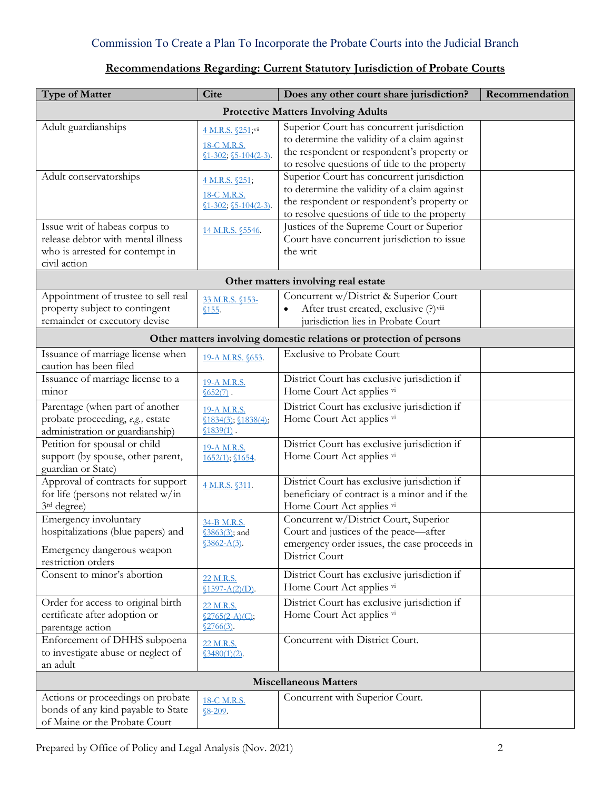### Commission To Create a Plan To Incorporate the Probate Courts into the Judicial Branch

## **Recommendations Regarding: Current Statutory Jurisdiction of Probate Courts**

| <b>Type of Matter</b>                                                                                                   | <b>Cite</b>                                                 | Does any other court share jurisdiction?                                                                                                                                                  | Recommendation |  |  |
|-------------------------------------------------------------------------------------------------------------------------|-------------------------------------------------------------|-------------------------------------------------------------------------------------------------------------------------------------------------------------------------------------------|----------------|--|--|
| <b>Protective Matters Involving Adults</b>                                                                              |                                                             |                                                                                                                                                                                           |                |  |  |
| Adult guardianships                                                                                                     | 4 M.R.S. §251;vii<br>18-C M.R.S.<br>$$1-302; $5-104(2-3)$.$ | Superior Court has concurrent jurisdiction<br>to determine the validity of a claim against<br>the respondent or respondent's property or<br>to resolve questions of title to the property |                |  |  |
| Adult conservatorships                                                                                                  | 4 M.R.S. §251;<br>18-C M.R.S.<br>$$1-302; $5-104(2-3)$.$    | Superior Court has concurrent jurisdiction<br>to determine the validity of a claim against<br>the respondent or respondent's property or<br>to resolve questions of title to the property |                |  |  |
| Issue writ of habeas corpus to<br>release debtor with mental illness<br>who is arrested for contempt in<br>civil action | 14 M.R.S. §5546.                                            | Justices of the Supreme Court or Superior<br>Court have concurrent jurisdiction to issue<br>the writ                                                                                      |                |  |  |
|                                                                                                                         |                                                             | Other matters involving real estate                                                                                                                                                       |                |  |  |
| Appointment of trustee to sell real<br>property subject to contingent<br>remainder or executory devise                  | 33 M.R.S. §153-<br>\$155.                                   | Concurrent w/District & Superior Court<br>After trust created, exclusive (?) viii<br>jurisdiction lies in Probate Court                                                                   |                |  |  |
|                                                                                                                         |                                                             | Other matters involving domestic relations or protection of persons                                                                                                                       |                |  |  |
| Issuance of marriage license when<br>caution has been filed                                                             | 19-A M.RS. §653.                                            | <b>Exclusive to Probate Court</b>                                                                                                                                                         |                |  |  |
| Issuance of marriage license to a<br>minor                                                                              | 19-A M.R.S.<br>$652(7)$ .                                   | District Court has exclusive jurisdiction if<br>Home Court Act applies vi                                                                                                                 |                |  |  |
| Parentage (when part of another<br>probate proceeding, e.g., estate<br>administration or guardianship)                  | 19-A M.R.S.<br>\$1834(3); \$1838(4);<br>$$1839(1)$ .        | District Court has exclusive jurisdiction if<br>Home Court Act applies vi                                                                                                                 |                |  |  |
| Petition for spousal or child<br>support (by spouse, other parent,<br>guardian or State)                                | 19-A M.R.S.<br>$1652(1)$ ; \$1654.                          | District Court has exclusive jurisdiction if<br>Home Court Act applies vi                                                                                                                 |                |  |  |
| Approval of contracts for support<br>for life (persons not related w/in<br>3rd degree)                                  | 4 M.R.S. §311.                                              | District Court has exclusive jurisdiction if<br>beneficiary of contract is a minor and if the<br>Home Court Act applies vi                                                                |                |  |  |
| Emergency involuntary<br>hospitalizations (blue papers) and<br>Emergency dangerous weapon<br>restriction orders         | 34-B M.R.S.<br>§3863(3); and<br>$$3862-A(3)$ .              | Concurrent w/District Court, Superior<br>Court and justices of the peace—after<br>emergency order issues, the case proceeds in<br>District Court                                          |                |  |  |
| Consent to minor's abortion                                                                                             | 22 M.R.S.<br>$$1597-A(2)(D)$ .                              | District Court has exclusive jurisdiction if<br>Home Court Act applies vi                                                                                                                 |                |  |  |
| Order for access to original birth<br>certificate after adoption or<br>parentage action                                 | 22 M.R.S.<br>$$2765(2-A)(C);$<br>$$2766(3)$ .               | District Court has exclusive jurisdiction if<br>Home Court Act applies vi                                                                                                                 |                |  |  |
| Enforcement of DHHS subpoena<br>to investigate abuse or neglect of<br>an adult                                          | 22 M.R.S.<br>$$3480(1)(2)$ .                                | Concurrent with District Court.                                                                                                                                                           |                |  |  |
| <b>Miscellaneous Matters</b>                                                                                            |                                                             |                                                                                                                                                                                           |                |  |  |
| Actions or proceedings on probate<br>bonds of any kind payable to State<br>of Maine or the Probate Court                | 18-C M.R.S.<br>$$8-209.$                                    | Concurrent with Superior Court.                                                                                                                                                           |                |  |  |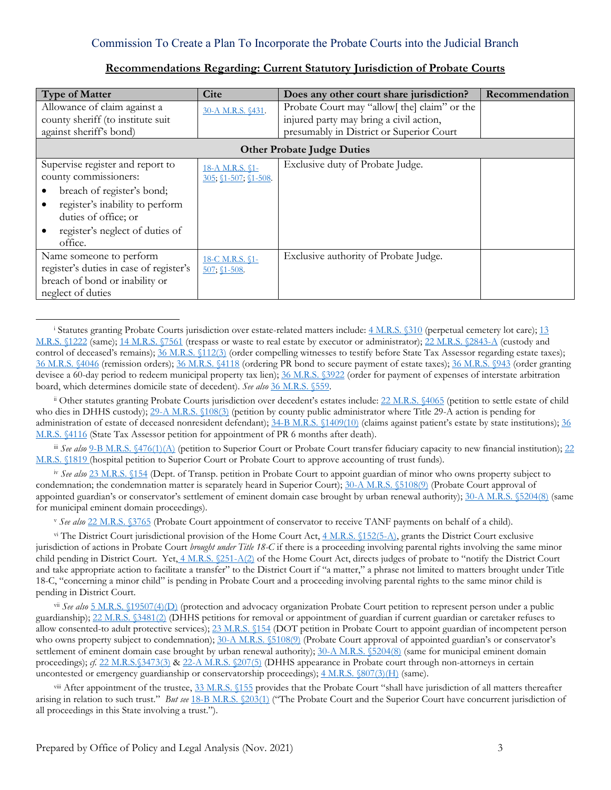| <b>Type of Matter</b>                   | <b>Cite</b>                | Does any other court share jurisdiction?     | Recommendation |  |  |
|-----------------------------------------|----------------------------|----------------------------------------------|----------------|--|--|
| Allowance of claim against a            | 30-A M.R.S. §431.          | Probate Court may "allow[ the] claim" or the |                |  |  |
| county sheriff (to institute suit       |                            | injured party may bring a civil action,      |                |  |  |
| against sheriff's bond)                 |                            | presumably in District or Superior Court     |                |  |  |
| <b>Other Probate Judge Duties</b>       |                            |                                              |                |  |  |
| Supervise register and report to        | 18-A M.R.S. §1-            | Exclusive duty of Probate Judge.             |                |  |  |
| county commissioners:                   | 305; $$1-507$ ; $$1-508$ . |                                              |                |  |  |
| breach of register's bond;              |                            |                                              |                |  |  |
| register's inability to perform         |                            |                                              |                |  |  |
| duties of office; or                    |                            |                                              |                |  |  |
| register's neglect of duties of         |                            |                                              |                |  |  |
| office.                                 |                            |                                              |                |  |  |
| Name someone to perform                 | 18-C M.R.S. §1-            | Exclusive authority of Probate Judge.        |                |  |  |
| register's duties in case of register's | $507; $1-508$              |                                              |                |  |  |
| breach of bond or inability or          |                            |                                              |                |  |  |
| neglect of duties                       |                            |                                              |                |  |  |

#### **Recommendations Regarding: Current Statutory Jurisdiction of Probate Courts**

<span id="page-2-1"></span>ii Other statutes granting Probate Courts jurisdiction over decedent's estates include: 22 M.R.S. \$4065 (petition to settle estate of child who dies in DHHS custody); [29-A M.R.S. §108\(3\)](https://legislature.maine.gov/legis/statutes/29-A/title29-Asec108.html) (petition by county public administrator where Title 29-A action is pending for administration of estate of deceased nonresident defendant); [34-B M.R.S. §1409\(10\)](https://legislature.maine.gov/legis/statutes/34-B/title34-Bsec1409html) (claims against patient's estate by state institutions); 36 [M.R.S. §4116](https://legislature.maine.gov/legis/statutes/36/title36sec4116.html) (State Tax Assessor petition for appointment of PR 6 months after death).

<span id="page-2-2"></span>iii *See also* [9-B M.R.S. §476\(1\)\(A\)](https://legislature.maine.gov/legis/statutes/9-B/title9-Bsec476.html) (petition to Superior Court or Probate Court transfer fiduciary capacity to new financial institution); 22 [M.R.S. §1819](https://legislature.maine.gov/legis/statutes/22/title22sec1819.html) (hospital petition to Superior Court or Probate Court to approve accounting of trust funds).

<span id="page-2-3"></span>iv *See also* [23 M.R.S. §154](https://legislature.maine.gov/legis/statutes/23/title23sec154.html) (Dept. of Transp. petition in Probate Court to appoint guardian of minor who owns property subject to condemnation; the condemnation matter is separately heard in Superior Court)[; 30-A M.R.S. §5108\(9\)](https://legislature.maine.gov/legis/statutes/30-A/title30-Asec5108.html) (Probate Court approval of appointed guardian's or conservator's settlement of eminent domain case brought by urban renewal authority); [30-A M.R.S. §5204\(8\)](https://legislature.maine.gov/legis/statutes/30-A/title30-Asec5204.html) (same for municipal eminent domain proceedings).

<sup>v</sup> *See also* [22 M.R.S. §3765](https://legislature.maine.gov/legis/statutes/22/title22sec3765-2.html) (Probate Court appointment of conservator to receive TANF payments on behalf of a child).

<span id="page-2-5"></span><span id="page-2-4"></span>v<sup>i</sup> The District Court jurisdictional provision of the Home Court Act,  $4$  M.R.S.  $(152(5-A))$ , grants the District Court exclusive jurisdiction of actions in Probate Court *brought under Title 18-C* if there is a proceeding involving parental rights involving the same minor child pending in District Court. Yet, [4 M.R.S. §251-A\(2\)](https://legislature.maine.gov/legis/statutes/4/title4sec251-A.html) of the Home Court Act, directs judges of probate to "notify the District Court and take appropriate action to facilitate a transfer" to the District Court if "a matter," a phrase not limited to matters brought under Title 18-C, "concerning a minor child" is pending in Probate Court and a proceeding involving parental rights to the same minor child is pending in District Court.

<span id="page-2-6"></span>vii *See also* [5 M.R.S. §19507\(4\)\(D\)](https://legislature.maine.gov/legis/statutes/5/title5sec19507.html) (protection and advocacy organization Probate Court petition to represent person under a public guardianship); [22 M.R.S. §3481\(2\)](https://legislature.maine.gov/legis/statutes/22/title22sec3481.html) (DHHS petitions for removal or appointment of guardian if current guardian or caretaker refuses to allow consented-to adult protective services)[; 23 M.R.S. §154](https://legislature.maine.gov/legis/statutes/23/title23sec154.html) (DOT petition in Probate Court to appoint guardian of incompetent person who owns property subject to condemnation)[; 30-A M.R.S. §5108\(9\)](https://legislature.maine.gov/legis/statutes/30-A/title30-Asec5108.html) (Probate Court approval of appointed guardian's or conservator's settlement of eminent domain case brought by urban renewal authority); [30-A M.R.S. §5204\(8\)](https://legislature.maine.gov/legis/statutes/30-A/title30-Asec5204.html) (same for municipal eminent domain proceedings); *cf.* [22 M.R.S.§3473\(3\)](https://legislature.maine.gov/legis/statutes/22/title22sec3473.html) & [22-A M.R.S. §207\(5\)](https://legislature.maine.gov/legis/statutes/22-A/title22-Asec207.html) (DHHS appearance in Probate court through non-attorneys in certain uncontested or emergency guardianship or conservatorship proceedings); [4 M.R.S. §807\(3\)\(H\)](https://legislature.maine.gov/legis/statutes/4/title4sec807.html) (same).

<span id="page-2-7"></span> $v$ <sup>iii</sup> After appointment of the trustee,  $33$  M.R.S.  $155$  provides that the Probate Court "shall have jurisdiction of all matters thereafter arising in relation to such trust." *But see* [18-B M.R.S. §203\(1\)](https://legislature.maine.gov/legis/statutes/18-B/title18-Bsec203.html) ("The Probate Court and the Superior Court have concurrent jurisdiction of all proceedings in this State involving a trust.").

 $\overline{a}$ 

<span id="page-2-0"></span><sup>&</sup>lt;sup>i</sup> Statutes granting Probate Courts jurisdiction over estate-related matters include:  $4$  M.R.S. §310 (perpetual cemetery lot care);  $13$ [M.R.S. §1222](https://legislature.maine.gov/legis/statutes/13/title13sec1222.html) (same); [14 M.R.S. §7561](https://legislature.maine.gov/legis/statutes/14/title14sec7561.html) (trespass or waste to real estate by executor or administrator); [22 M.R.S. §2843-A](https://legislature.maine.gov/legis/statutes/22/title22sec2843-A.html) (custody and control of deceased's remains);  $\frac{36 \text{ M.R.S. } \$112(3)}{}$  (order compelling witnesses to testify before State Tax Assessor regarding estate taxes); [36 M.R.S. §4046](https://legislature.maine.gov/legis/statutes/36/title36sec4046.html) (remission orders)[; 36 M.R.S. §4118](https://legislature.maine.gov/legis/statutes/36/title36sec4118.html) (ordering PR bond to secure payment of estate taxes); [36 M.R.S. §943](https://legislature.maine.gov/legis/statutes/36/title36sec943.html) (order granting devisee a 60-day period to redeem municipal property tax lien); [36 M.R.S. §3922](https://legislature.maine.gov/legis/statutes/36/title36sec3922.html) (order for payment of expenses of interstate arbitration board, which determines domicile state of decedent). *See also* [36 M.R.S. §559.](https://legislature.maine.gov/legis/statutes/36/title36sec559.html)